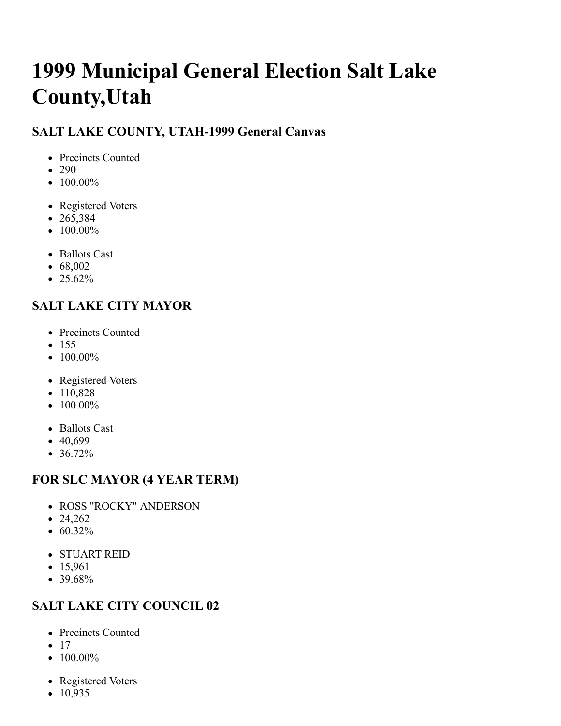# **1999 Municipal General Election Salt Lake County,Utah**

#### **SALT LAKE COUNTY, UTAH-1999 General Canvas**

- Precincts Counted
- 290
- $\bullet$  100.00%
- Registered Voters
- $265,384$
- $100.00\%$
- Ballots Cast
- $68,002$
- $\cdot$  25.62%

# **SALT LAKE CITY MAYOR**

- Precincts Counted
- $155$
- $100.00\%$
- Registered Voters
- $\bullet$  110,828
- $\bullet$  100.00%
- Ballots Cast
- $40,699$
- 36.72%

# **FOR SLC MAYOR (4 YEAR TERM)**

- ROSS "ROCKY" ANDERSON
- $24,262$
- 60.32%
- STUART REID
- $15,961$
- $39.68%$

# **SALT LAKE CITY COUNCIL 02**

- Precincts Counted
- $17$
- $\bullet$  100.00%
- Registered Voters
- $\cdot$  10,935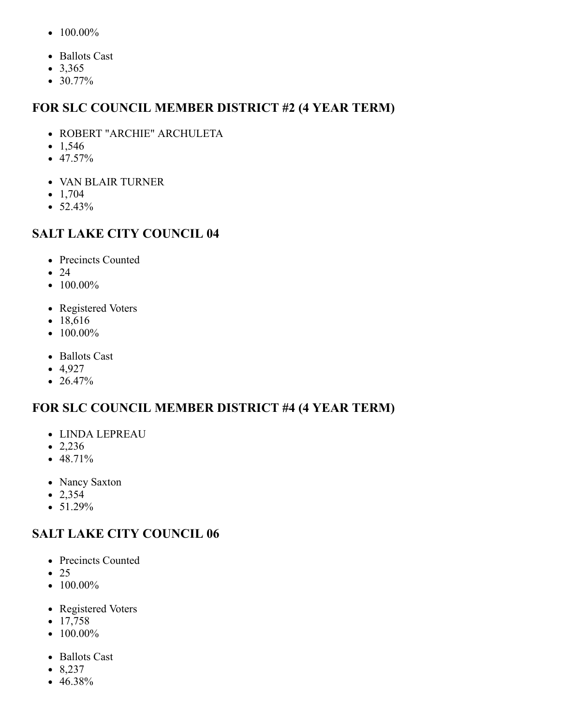- $100.00\%$
- Ballots Cast
- $3,365$
- 30.77%

#### **FOR SLC COUNCIL MEMBER DISTRICT #2 (4 YEAR TERM)**

- ROBERT "ARCHIE" ARCHULETA
- $1,546$
- $47.57%$
- VAN BLAIR TURNER
- $\bullet$  1,704
- $52.43%$

#### **SALT LAKE CITY COUNCIL 04**

- Precincts Counted
- $24$
- $\bullet$  100.00%
- Registered Voters
- 18,616
- $\bullet$  100.00%
- Ballots Cast
- $-4,927$
- 26.47%

#### **FOR SLC COUNCIL MEMBER DISTRICT #4 (4 YEAR TERM)**

- LINDA LEPREAU
- $\bullet$  2,236
- $-48.71%$
- Nancy Saxton
- $2,354$
- $\bullet$  51.29%

#### **SALT LAKE CITY COUNCIL 06**

- Precincts Counted
- $\bullet$  25
- $\bullet$  100.00%
- Registered Voters
- $17,758$
- $\bullet$  100.00%
- Ballots Cast
- $8,237$
- 46.38%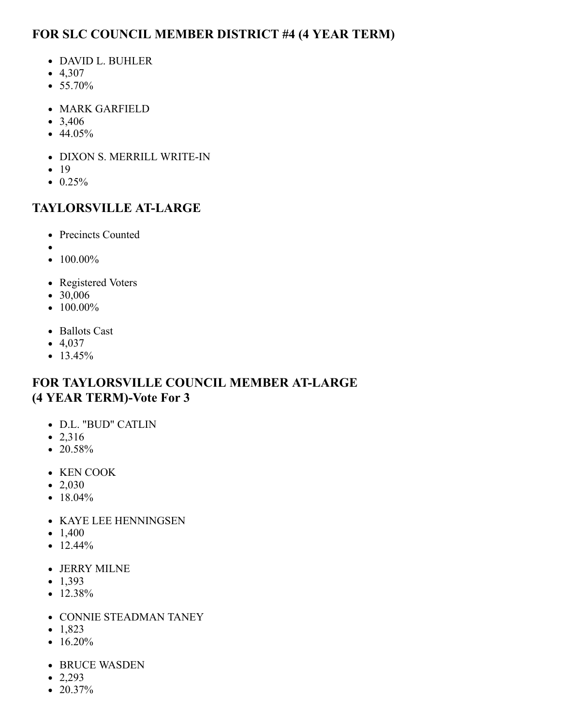## **FOR SLC COUNCIL MEMBER DISTRICT #4 (4 YEAR TERM)**

- DAVID L. BUHLER
- $-4,307$
- $55.70%$
- MARK GARFIELD
- $3,406$
- $44.05\%$
- DIXON S. MERRILL WRITE-IN
- $19$
- $\bullet$  0.25%

### **TAYLORSVILLE AT-LARGE**

- Precincts Counted
- 
- $100.00\%$
- Registered Voters
- $30,006$
- $\bullet$  100.00%
- Ballots Cast
- $-4,037$
- $13.45%$

#### **FOR TAYLORSVILLE COUNCIL MEMBER AT-LARGE (4 YEAR TERM)-Vote For 3**

- D.L. "BUD" CATLIN
- 2,316
- $\bullet$  20.58%
- KEN COOK
- $\bullet$  2,030
- $18.04\%$
- KAYE LEE HENNINGSEN
- $\bullet$  1,400
- $\bullet$  12.44%
- JERRY MILNE
- $-1,393$
- $\bullet$  12.38%
- CONNIE STEADMAN TANEY
- $\bullet$  1,823
- $\bullet$  16.20%
- BRUCE WASDEN
- $\bullet$  2,293
- $\bullet$  20.37%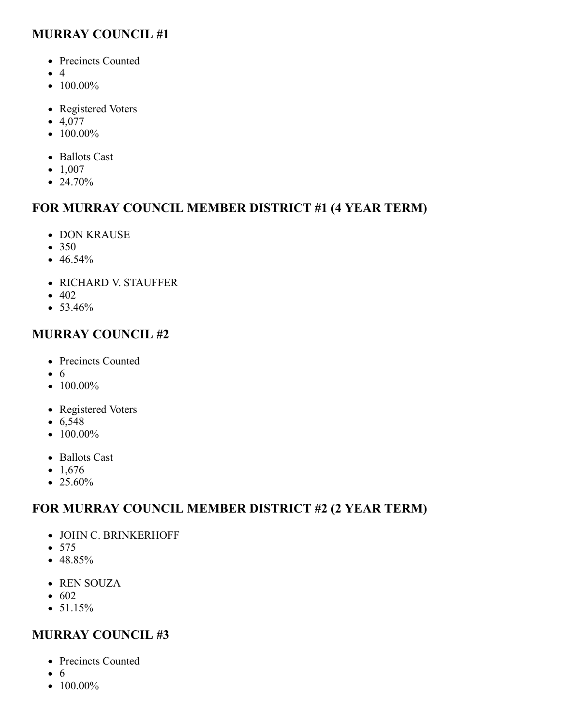#### **MURRAY COUNCIL #1**

- Precincts Counted
- $\bullet$  4
- $\bullet$  100.00%
- Registered Voters
- $-4,077$
- $\bullet$  100.00%
- Ballots Cast
- $\bullet$  1,007
- 24.70%

#### **FOR MURRAY COUNCIL MEMBER DISTRICT #1 (4 YEAR TERM)**

- DON KRAUSE
- 350
- $\bullet$  46.54%
- RICHARD V. STAUFFER
- $-402$
- $53.46%$

#### **MURRAY COUNCIL #2**

- Precincts Counted
- 6
- $\bullet$  100.00%
- Registered Voters
- $6,548$
- $\bullet$  100.00%
- Ballots Cast
- $\cdot$  1,676
- $\bullet$  25.60%

#### **FOR MURRAY COUNCIL MEMBER DISTRICT #2 (2 YEAR TERM)**

- JOHN C. BRINKERHOFF
- 575
- $-48.85%$
- REN SOUZA
- $602$
- $51.15%$

#### **MURRAY COUNCIL #3**

- Precincts Counted
- $\bullet$  6
- $\bullet$  100.00%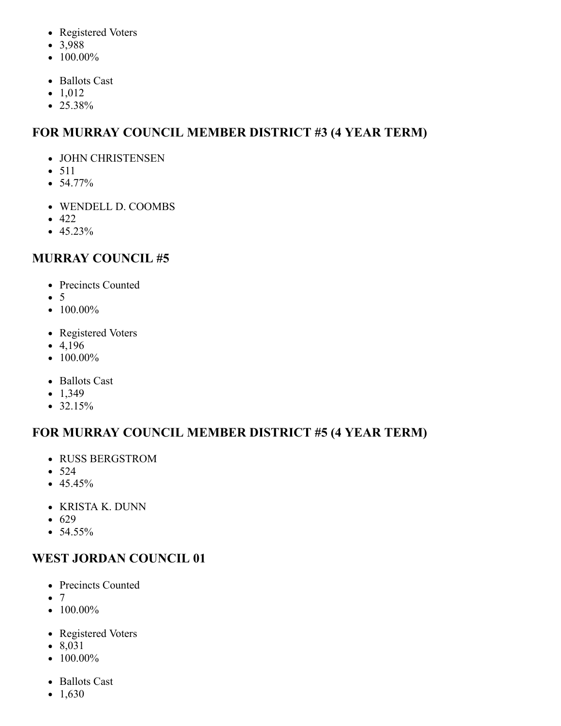- Registered Voters
- 3,988
- $\bullet$  100.00%
- Ballots Cast
- $\bullet$  1,012
- 25.38%

# **FOR MURRAY COUNCIL MEMBER DISTRICT #3 (4 YEAR TERM)**

- JOHN CHRISTENSEN
- $511$
- $54.77\%$
- WENDELL D. COOMBS
- $-422$
- $45.23\%$

# **MURRAY COUNCIL #5**

- Precincts Counted
- $\bullet$  5
- $\bullet$  100.00%
- Registered Voters
- $-4,196$
- $\bullet$  100.00%
- Ballots Cast
- $-1,349$
- $32.15%$

# **FOR MURRAY COUNCIL MEMBER DISTRICT #5 (4 YEAR TERM)**

- RUSS BERGSTROM
- $524$
- $-45.45%$
- KRISTA K. DUNN
- 629
- $54.55%$

# **WEST JORDAN COUNCIL 01**

- Precincts Counted
- $\bullet$  7
- $\bullet$  100.00%
- Registered Voters
- 8,031
- $100.00\%$
- Ballots Cast
- $1,630$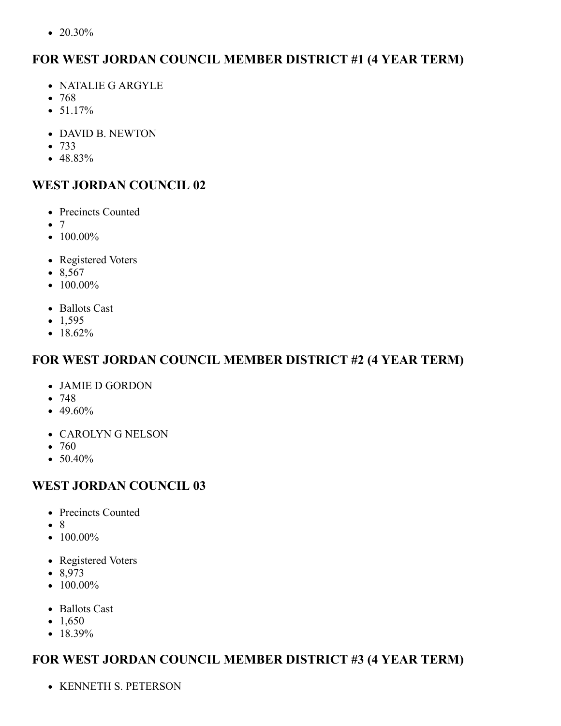•  $20.30\%$ 

#### **FOR WEST JORDAN COUNCIL MEMBER DISTRICT #1 (4 YEAR TERM)**

- NATALIE G ARGYLE
- $768$
- $51.17%$
- DAVID B. NEWTON
- 733
- $-48.83%$

#### **WEST JORDAN COUNCIL 02**

- Precincts Counted
- $\bullet$  7
- $\bullet$  100.00%
- Registered Voters
- $8,567$
- $\bullet$  100.00%
- Ballots Cast
- $\bullet$  1,595
- 18.62%

#### **FOR WEST JORDAN COUNCIL MEMBER DISTRICT #2 (4 YEAR TERM)**

- JAMIE D GORDON
- $748$
- $\bullet$  49.60%
- CAROLYN G NELSON
- $760$
- $50.40%$

#### **WEST JORDAN COUNCIL 03**

- Precincts Counted
- $\bullet$  8
- $\bullet$  100.00%
- Registered Voters
- 8,973
- $\bullet$  100.00%
- Ballots Cast
- $\bullet$  1,650
- $18.39\%$

# **FOR WEST JORDAN COUNCIL MEMBER DISTRICT #3 (4 YEAR TERM)**

KENNETH S. PETERSON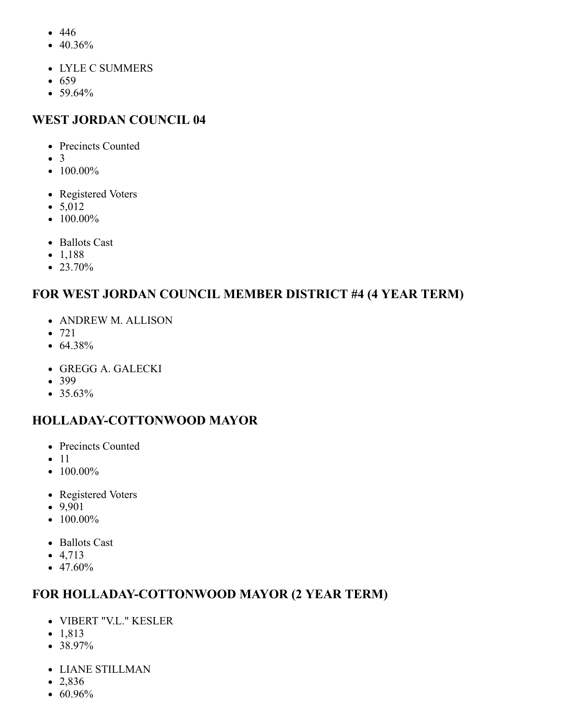- 446
- 40.36%
- LYLE C SUMMERS
- $659$
- $59.64%$

#### **WEST JORDAN COUNCIL 04**

- Precincts Counted
- $\bullet$  3
- $100.00\%$
- Registered Voters
- $5,012$
- $\bullet$  100.00%
- Ballots Cast
- $\bullet$  1,188
- 23.70%

#### **FOR WEST JORDAN COUNCIL MEMBER DISTRICT #4 (4 YEAR TERM)**

- ANDREW M. ALLISON
- 721
- $64.38%$
- GREGG A. GALECKI
- 399
- $35.63%$

#### **HOLLADAY-COTTONWOOD MAYOR**

- Precincts Counted
- $\bullet$  11
- $\bullet$  100.00%
- Registered Voters
- 9,901
- $\bullet$  100.00%
- Ballots Cast
- $-4,713$
- $47.60%$

#### **FOR HOLLADAY-COTTONWOOD MAYOR (2 YEAR TERM)**

- VIBERT "V.L." KESLER
- 1,813
- 38.97%
- LIANE STILLMAN
- $-2,836$
- $60.96\%$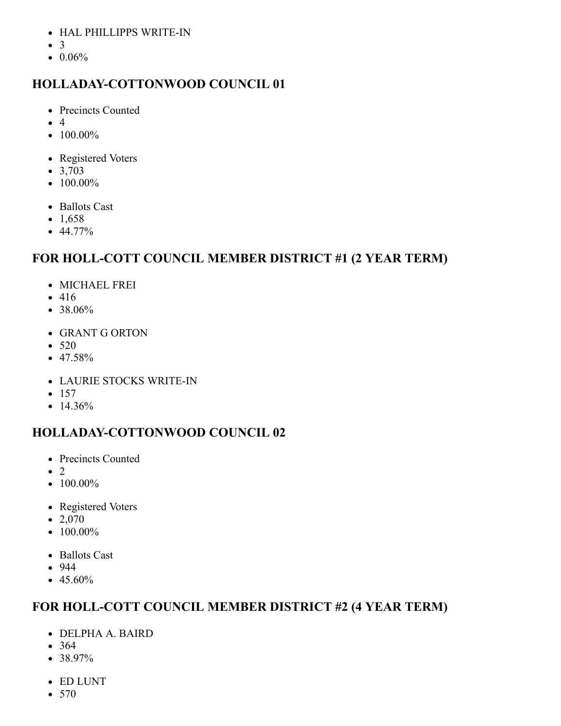- HAL PHILLIPPS WRITE-IN
- $\bullet$  3
- $\bullet$  0.06%

### **HOLLADAY-COTTONWOOD COUNCIL 01**

- Precincts Counted
- $\bullet$  4
- $100.00\%$
- Registered Voters
- $3,703$
- $\bullet$  100.00%
- Ballots Cast
- $\bullet$  1,658
- $44.77\%$

### **FOR HOLL-COTT COUNCIL MEMBER DISTRICT #1 (2 YEAR TERM)**

- MICHAEL FREI
- 416
- 38.06%
- GRANT G ORTON
- $520$
- 47.58%
- LAURIE STOCKS WRITE-IN
- $157$
- $14.36%$

# **HOLLADAY-COTTONWOOD COUNCIL 02**

- Precincts Counted
- $\bullet$  2
- $\bullet$  100.00%
- Registered Voters
- $\bullet$  2,070
- $\bullet$  100.00%
- Ballots Cast
- 944
- $\bullet$  45.60%

#### **FOR HOLL-COTT COUNCIL MEMBER DISTRICT #2 (4 YEAR TERM)**

- DELPHA A. BAIRD
- 364
- $38.97\%$
- ED LUNT
- 570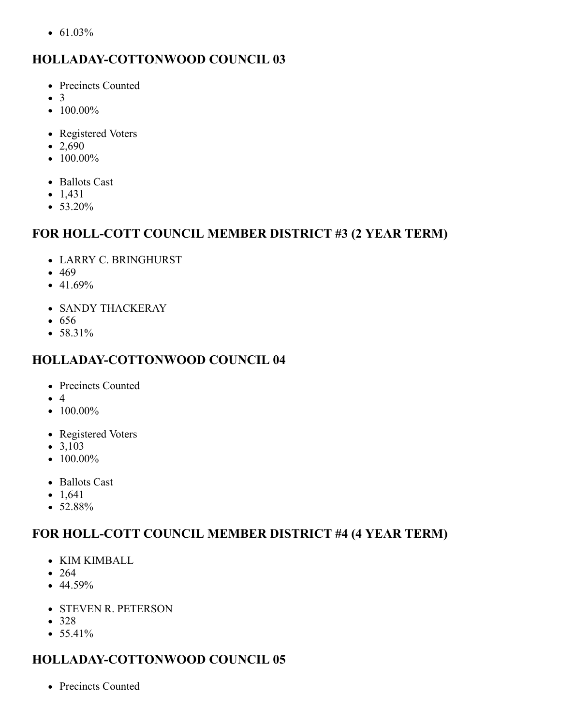•  $61.03\%$ 

# **HOLLADAY-COTTONWOOD COUNCIL 03**

- Precincts Counted
- $\bullet$  3
- $100.00\%$
- Registered Voters
- $\bullet$  2,690
- $\bullet$  100.00%
- Ballots Cast
- $-1,431$
- 53.20%

#### **FOR HOLL-COTT COUNCIL MEMBER DISTRICT #3 (2 YEAR TERM)**

- LARRY C. BRINGHURST
- $-469$
- $-41.69%$
- SANDY THACKERAY
- $656$
- 58.31%

# **HOLLADAY-COTTONWOOD COUNCIL 04**

- Precincts Counted
- 4
- $\bullet$  100.00%
- Registered Voters
- $3,103$
- $\bullet$  100.00%
- Ballots Cast
- $1,641$
- 52.88%

#### **FOR HOLL-COTT COUNCIL MEMBER DISTRICT #4 (4 YEAR TERM)**

- KIM KIMBALL
- $264$
- $44.59%$
- STEVEN R. PETERSON
- 328
- $55.41%$

# **HOLLADAY-COTTONWOOD COUNCIL 05**

• Precincts Counted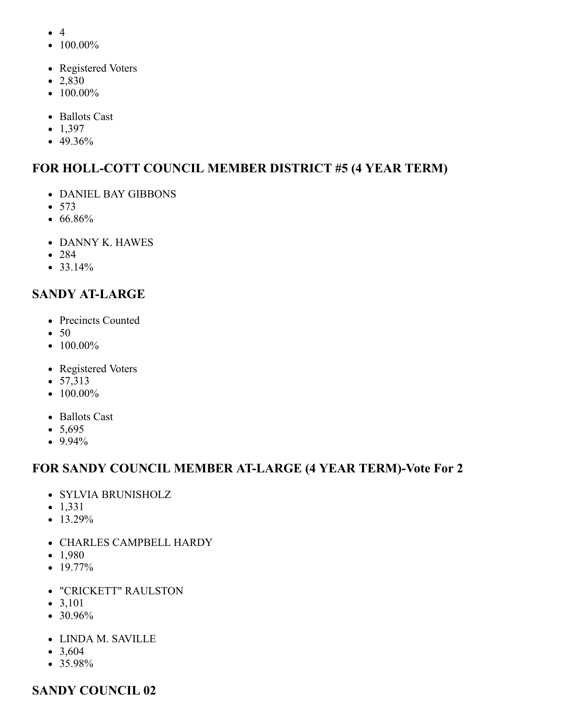- $\bullet$  4
- $\bullet$  100.00%
- Registered Voters
- 2,830
- $\bullet$  100.00%
- Ballots Cast
- $\bullet$  1,397
- 49.36%

# **FOR HOLL-COTT COUNCIL MEMBER DISTRICT #5 (4 YEAR TERM)**

- DANIEL BAY GIBBONS
- 573
- 66.86%
- DANNY K. HAWES
- 284
- $33.14%$

# **SANDY AT-LARGE**

- Precincts Counted
- 50
- $\bullet$  100.00%
- Registered Voters
- $57,313$
- $\bullet$  100.00%
- Ballots Cast
- $5,695$
- $9.94\%$

#### **FOR SANDY COUNCIL MEMBER AT-LARGE (4 YEAR TERM)-Vote For 2**

- SYLVIA BRUNISHOLZ
- $\bullet$  1,331
- $13.29%$
- CHARLES CAMPBELL HARDY
- $\bullet$  1,980
- $19.77\%$
- "CRICKETT" RAULSTON
- $3,101$
- $30.96%$
- LINDA M. SAVILLE
- $3,604$
- $35.98\%$

#### **SANDY COUNCIL 02**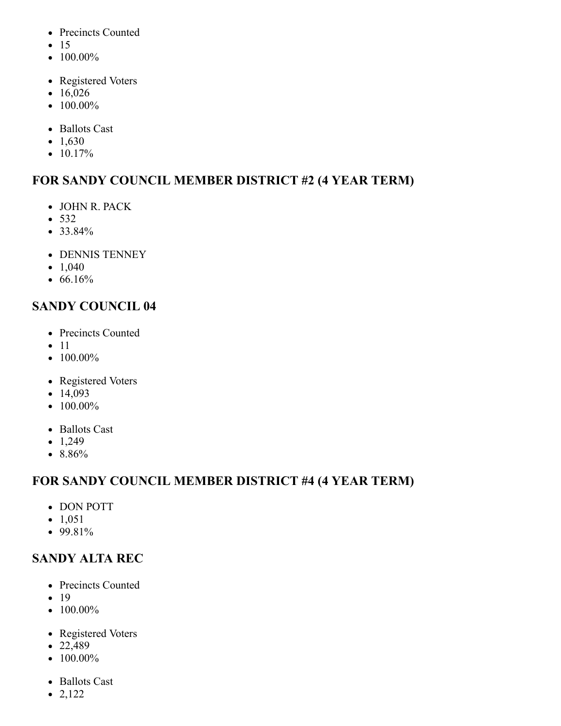- Precincts Counted
- $15$
- $\bullet$  100.00%
- Registered Voters
- $16,026$
- $\bullet$  100.00%
- Ballots Cast
- $\bullet$  1,630
- $10.17%$

# **FOR SANDY COUNCIL MEMBER DISTRICT #2 (4 YEAR TERM)**

- JOHN R. PACK
- 532
- 33.84%
- DENNIS TENNEY
- $\bullet$  1,040
- $66.16%$

### **SANDY COUNCIL 04**

- Precincts Counted
- $\bullet$  11
- $\bullet$  100.00%
- Registered Voters
- $14,093$
- $\bullet$  100.00%
- Ballots Cast
- $\bullet$  1,249
- 8.86%

# **FOR SANDY COUNCIL MEMBER DISTRICT #4 (4 YEAR TERM)**

- DON POTT
- $\bullet$  1,051
- $99.81%$

# **SANDY ALTA REC**

- Precincts Counted
- $\bullet$  19
- $\bullet$  100.00%
- Registered Voters
- $22,489$
- $\bullet$  100.00%
- Ballots Cast
- 2,122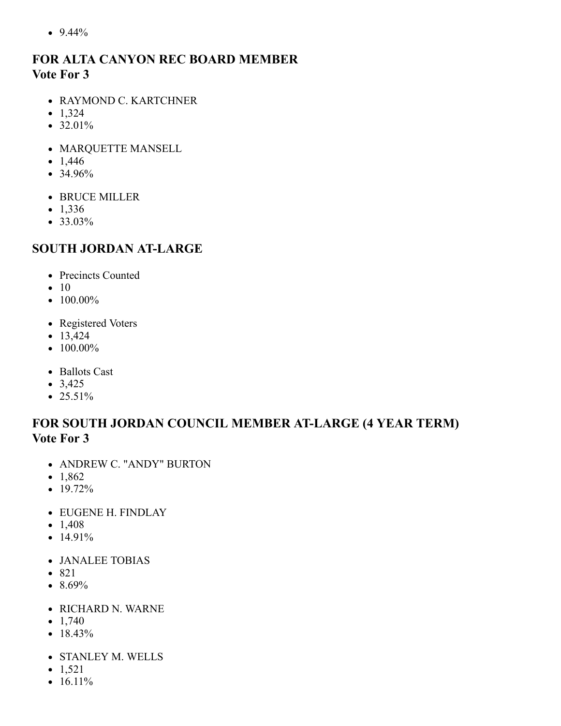$• 9.44\%$ 

#### **FOR ALTA CANYON REC BOARD MEMBER Vote For 3**

- RAYMOND C. KARTCHNER
- $\bullet$  1,324
- $32.01%$
- MARQUETTE MANSELL
- $1,446$
- 34.96%
- BRUCE MILLER
- $-1,336$
- 33.03%

#### **SOUTH JORDAN AT-LARGE**

- Precincts Counted
- $\bullet$  10
- $100.00\%$
- Registered Voters
- $13,424$
- $\bullet$  100.00%
- Ballots Cast
- $3,425$
- $25.51\%$

#### **FOR SOUTH JORDAN COUNCIL MEMBER AT-LARGE (4 YEAR TERM) Vote For 3**

- ANDREW C. "ANDY" BURTON
- $1,862$
- 19.72%
- EUGENE H. FINDLAY
- $\bullet$  1,408
- $14.91\%$
- JANALEE TOBIAS
- 821
- $\bullet$  8.69%
- RICHARD N. WARNE
- $\bullet$  1,740
- $18.43%$
- STANLEY M. WELLS
- $\bullet$  1,521
- $16.11\%$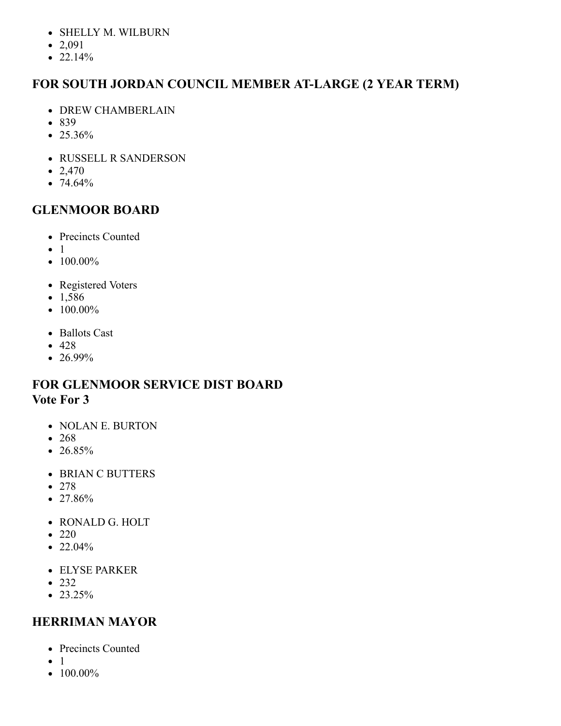- SHELLY M. WILBURN
- $2,091$
- $\bullet$  22.14%

# **FOR SOUTH JORDAN COUNCIL MEMBER AT-LARGE (2 YEAR TERM)**

- DREW CHAMBERLAIN
- 839
- 25.36%
- RUSSELL R SANDERSON
- $\bullet$  2,470
- $74.64%$

# **GLENMOOR BOARD**

- Precincts Counted
- $\bullet$  1
- $100.00\%$
- Registered Voters
- $-1,586$
- $\bullet$  100.00%
- Ballots Cast
- $-428$
- 26.99%

#### **FOR GLENMOOR SERVICE DIST BOARD Vote For 3**

- NOLAN E. BURTON
- $268$
- $\cdot$  26.85%
- BRIAN C BUTTERS
- 278
- $\bullet$  27.86%
- RONALD G. HOLT
- $220$
- $\bullet$  22.04%
- ELYSE PARKER
- $232$
- $23.25%$

# **HERRIMAN MAYOR**

- Precincts Counted
- $\bullet$  1
- $\bullet$  100.00%